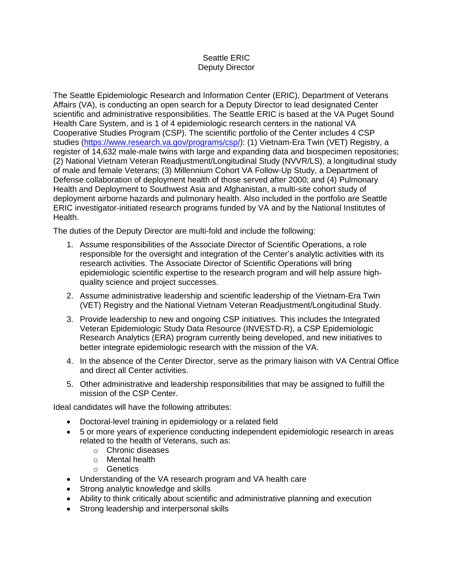## Seattle ERIC Deputy Director

The Seattle Epidemiologic Research and Information Center (ERIC), Department of Veterans Affairs (VA), is conducting an open search for a Deputy Director to lead designated Center scientific and administrative responsibilities. The Seattle ERIC is based at the VA Puget Sound Health Care System, and is 1 of 4 epidemiologic research centers in the national VA Cooperative Studies Program (CSP). The scientific portfolio of the Center includes 4 CSP studies [\(https://www.research.va.gov/programs/csp/\)](https://www.research.va.gov/programs/csp/): (1) Vietnam-Era Twin (VET) Registry, a register of 14,632 male-male twins with large and expanding data and biospecimen repositories; (2) National Vietnam Veteran Readjustment/Longitudinal Study (NVVR/LS), a longitudinal study of male and female Veterans; (3) Millennium Cohort VA Follow-Up Study, a Department of Defense collaboration of deployment health of those served after 2000; and (4) Pulmonary Health and Deployment to Southwest Asia and Afghanistan, a multi-site cohort study of deployment airborne hazards and pulmonary health. Also included in the portfolio are Seattle ERIC investigator-initiated research programs funded by VA and by the National Institutes of Health.

The duties of the Deputy Director are multi-fold and include the following:

- 1. Assume responsibilities of the Associate Director of Scientific Operations, a role responsible for the oversight and integration of the Center's analytic activities with its research activities. The Associate Director of Scientific Operations will bring epidemiologic scientific expertise to the research program and will help assure highquality science and project successes.
- 2. Assume administrative leadership and scientific leadership of the Vietnam-Era Twin (VET) Registry and the National Vietnam Veteran Readjustment/Longitudinal Study.
- 3. Provide leadership to new and ongoing CSP initiatives. This includes the Integrated Veteran Epidemiologic Study Data Resource (INVESTD-R), a CSP Epidemiologic Research Analytics (ERA) program currently being developed, and new initiatives to better integrate epidemiologic research with the mission of the VA.
- 4. In the absence of the Center Director, serve as the primary liaison with VA Central Office and direct all Center activities.
- 5. Other administrative and leadership responsibilities that may be assigned to fulfill the mission of the CSP Center.

Ideal candidates will have the following attributes:

- Doctoral-level training in epidemiology or a related field
- 5 or more years of experience conducting independent epidemiologic research in areas related to the health of Veterans, such as:
	- o Chronic diseases
	- o Mental health
	- o Genetics
- Understanding of the VA research program and VA health care
- Strong analytic knowledge and skills
- Ability to think critically about scientific and administrative planning and execution
- Strong leadership and interpersonal skills